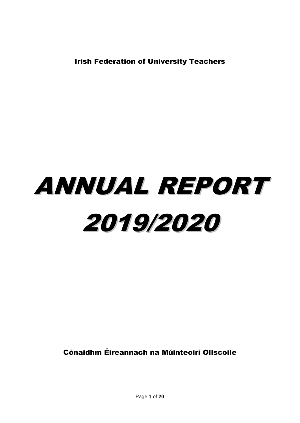Irish Federation of University Teachers

## ANNUAL REPORT 2019/2020

Cónaidhm Éireannach na Múinteoirí Ollscoile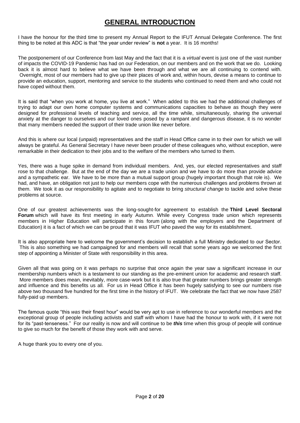### **GENERAL INTRODUCTION**

I have the honour for the third time to present my Annual Report to the IFUT Annual Delegate Conference. The first thing to be noted at this ADC is that "the year under review" is **not** a year. It is 16 months!

The postponement of our Conference from last May and the fact that it is a *virtual* event is just one of the vast number of impacts the COVID-19 Pandemic has had on our Federation, on our members and on the work that we do. Looking back it is almost hard to believe what we have been through and what we are all continuing to contend with. Overnight, most of our members had to give up their places of work and, within hours, devise a means to continue to provide an education, support, mentoring and service to the students who continued to need them and who could not have coped without them.

It is said that "when you work at home, you live at work." When added to this we had the additional challenges of trying to adapt our own home computer systems and communications capacities to behave as though they were designed for professional levels of teaching and service, all the time while, simultaneously, sharing the universal anxiety at the danger to ourselves and our loved ones posed by a rampant and dangerous disease, it is no wonder that many members needed the support of their trade union like never before.

And this is where our local (unpaid) representatives and the staff in Head Office came in to their own for which we will always be grateful. As General Secretary I have never been prouder of these colleagues who, without exception, were remarkable in their dedication to their jobs and to the welfare of the members who turned to them.

Yes, there was a huge spike in demand from individual members. And, yes, our elected representatives and staff rose to that challenge. But at the end of the day we are a trade union and we have to do more than provide advice and a sympathetic ear. We have to be more than a mutual support group (hugely important though that role is). We had, and have, an obligation not just to help our members cope with the numerous challenges and problems thrown at them. We took it as our responsibility to agitate and to negotiate to bring *structural change* to tackle and solve these problems at source.

One of our greatest achievements was the long-sought-for agreement to establish the **Third Level Sectoral Forum** which will have its first meeting in early Autumn. While every Congress trade union which represents members in Higher Education will participate in this forum (along with the employers and the Department of Education) it is a fact of which we can be proud that it was IFUT who paved the way for its establishment.

It is also appropriate here to welcome the government's decision to establish a full Ministry dedicated to our Sector. This is also something we had campaigned for and members will recall that some years ago we welcomed the first step of appointing a Minister of State with responsibility in this area.

Given all that was going on it was perhaps no surprise that once again the year saw a significant increase in our membership numbers which is a testament to our standing as the pre-eminent union for academic and research staff. More members does mean, inevitably, more case-work but it is also true that greater numbers brings greater strength and influence and this benefits us all. For us in Head Office it has been hugely satisfying to see our numbers rise above two thousand five hundred for the first time in the history of IFUT. We celebrate the fact that we now have 2587 fully-paid up members.

The famous quote "this *was* their finest hour" would be very apt to use in reference to our wonderful members and the exceptional group of people including activists and staff with whom I have had the honour to work with, if it were not for its "past-tenseness." For our reality is now and will continue to be *this* time when this group of people will continue to give so much for the benefit of those they work with and serve.

A huge thank you to every one of you.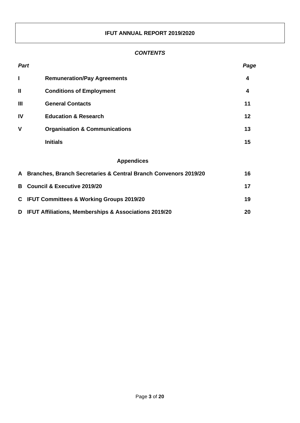#### **IFUT ANNUAL REPORT 2019/2020**

#### *CONTENTS*

|                | <b>Part</b>                                                            | Page |  |
|----------------|------------------------------------------------------------------------|------|--|
| I              | <b>Remuneration/Pay Agreements</b>                                     | 4    |  |
| $\mathbf{I}$   | <b>Conditions of Employment</b>                                        | 4    |  |
| $\mathbf{III}$ | <b>General Contacts</b>                                                | 11   |  |
| IV             | <b>Education &amp; Research</b>                                        | 12   |  |
| $\mathbf v$    | <b>Organisation &amp; Communications</b>                               | 13   |  |
|                | <b>Initials</b>                                                        | 15   |  |
|                | <b>Appendices</b>                                                      |      |  |
| A              | Branches, Branch Secretaries & Central Branch Convenors 2019/20<br>16  |      |  |
| в              | <b>Council &amp; Executive 2019/20</b><br>17                           |      |  |
| C.             | <b>IFUT Committees &amp; Working Groups 2019/20</b><br>19              |      |  |
| D              | <b>IFUT Affiliations, Memberships &amp; Associations 2019/20</b><br>20 |      |  |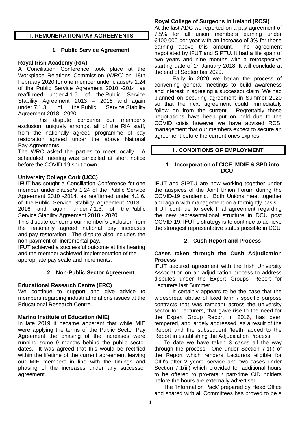#### **I. REMUNERATION/PAY AGREEMENTS**

#### **1. Public Service Agreement**

#### **Royal Irish Academy (RIA)**

A Conciliation Conference took place at the Workplace Relations Commission (WRC) on 18th February 2020 for one member under clause/s 1.24 of the Public Service Agreement 2010 -2014, as reaffirmed under 4.1.6. of the Public Service Stability Agreement 2013 – 2016 and again under 7.1.3. of the Public Service Stability Agreement 2018 - 2020.

This dispute concerns our member's exclusion, uniquely amongst all of the RIA staff, from the nationally agreed programme of pay restoration agreed under the above National Pay Agreements.

The WRC asked the parties to meet locally. A scheduled meeting was cancelled at short notice before the COVID-19 shut down.

#### **University College Cork (UCC)**

IFUT has sought a Conciliation Conference for one member under clause/s 1.24 of the Public Service Agreement 2010 -2014, as reaffirmed under 4.1.6. of the Public Service Stability Agreement 2013 – 2016 and again under 7.1.3. of the Public Service Stability Agreement 2018 - 2020.

This dispute concerns our member's exclusion from the nationally agreed national pay increases and pay restoration. The dispute also includes the non-payment of incremental pay.

IFUT achieved a successful outcome at this hearing and the member achieved implementation of the appropriate pay scale and increments.

#### **2. Non-Public Sector Agreement**

#### **Educational Research Centre (ERC)**

We continue to support and give advice to members regarding industrial relations issues at the Educational Research Centre.

#### **Marino Institute of Education (MIE)**

In late 2019 it became apparent that while MIE were applying the terms of the Public Sector Pay Agreement the phasing of the increases were running some 9 months behind the public sector dates. It was agreed that this would be rectified within the lifetime of the current agreement leaving our MIE members in line with the timings and phasing of the increases under any successor agreement.

#### **Royal College of Surgeons in Ireland (RCSI)**

At the last ADC we reported on a pay agreement of 7.5% for all union members earning under €100,000 per year with an increase of 3% for those earning above this amount. The agreement negotiated by IFUT and SIPTU. It had a life span of two years and nine months with a retrospective starting date of 1<sup>st</sup> January 2018. It will conclude at the end of September 2020.

Early in 2020 we began the process of convening general meetings to build awareness and interest in agreeing a successor claim. We had planned on securing agreement in Summer 2020 so that the next agreement could immediately follow on from the current. Regrettably these negotiations have been put on hold due to the COVID crisis however we have advised RCSI management that our members expect to secure an agreement before the current ones expires.

#### **II. CONDITIONS OF EMPLOYMENT**

#### **1. Incorporation of CICE, MDIE & SPD into DCU**

IFUT and SIPTU are now working together under the auspices of the Joint Union Forum during the COVID-19 pandemic. Both Unions meet together and again with management on a fortnightly basis. IFUT continue to seek final agreement regarding the new representational structure in DCU post COVID-19. IFUT's strategy is to continue to achieve the strongest representative status possible in DCU

#### **2. Cush Report and Process**

#### **Cases taken through the Cush Adjudication Process**

IFUT secured agreement with the Irish University Association on an adjudication process to address disputes under the Expert Groups' Report for Lecturers last Summer.

It certainly appears to be the case that the widespread abuse of fixed term / specific purpose contracts that was rampant across the university sector for Lecturers, that gave rise to the need for the Expert Group Report in 2016, has been tempered, and largely addressed, as a result of the Report and the subsequent 'teeth' added to the Report in establishing the Adjudication Process.

To date we have taken 3 cases all the way through the process. One under Section 7.1(i) of the Report which renders Lecturers eligible for CID's after 2 years' service and two cases under Section 7.1(iii) which provided for additional hours to be offered to pro-rata / part-time CID holders before the hours are externally advertised.

The 'Information Pack' prepared by Head Office and shared with all Committees has proved to be a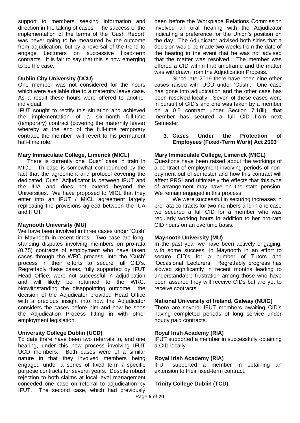support to members seeking information and direction in the taking of cases. The success of the implementation of the terms of the 'Cush Report' was never going to be measured by the outcome from adjudication, but by a reversal of the trend to engage Lecturers on successive fixed-term contracts. It is fair to say that this is now emerging to be the case.

#### **Dublin City University (DCU)**

One member was not considered for the hours which were available due to a maternity leave case. As a result these hours were offered to another individual.

IFUT sought to rectify this situation and achieved the implementation of a six-month full-time (temporary) contract (covering the maternity leave) whereby at the end of the full-time temporary contract, the member will revert to his permanent half-time role.

#### **Mary Immaculate College, Limerick (MICL)**

There is currently one 'Cush' case in train in MICL. Th case is somewhat compounded by the fact that the agreement and protocol covering the dedicated 'Cush' Adjudicator is between IFUT and the IUA and does not extend beyond the Universities. We have proposed to MICL that they enter into an IFUT / MICL agreement largely replicating the provisions agreed between the IUA and IFUT.

#### **Maynooth University (MU)**

We have been involved in three cases under 'Cush' in Maynooth in recent times. Two case are longstanding disputes involving members on pro-rata (0.75) contracts of employment who have taken cases through the WRC process, into the 'Cush' process in their efforts to secure full CID's. Regrettably these cases, fully supported by IFUT Head Office, were not successful in adjudication and will likely be returned to the WRC. Notwithstanding the disappointing outcome the decision of the Adjudicator provided Head Office with a precious insight into how the Adjudicator considers the cases before him and how he sees the Adjudication Process fitting in with other employment legislation.

#### **University College Dublin (UCD)**

To date there have been two referrals to, and one hearing, under this new process involving IFUT UCD members. Both cases were of a similar nature in that they involved members being engaged under a series of fixed term / specific purpose contracts for several years. Despite robust rejection to both claims at local level management conceded one case on referral to adjudication by IFUT. The second case, which had previously

been before the Workplace Relations Commission involved an oral hearing with the Adjudicator indicating a preference for the Union's position on the day. The Adjudicator advised both sides that a decision would be made two weeks from the date of the hearing in the event that he was not advised that the matter was resolved. The member was offered a CID within that timeframe and the matter was withdrawn from the Adjudication Process.

Since late 2019 there have been nine other cases raised with UCD under 'Cush'. One case has gone into adjudication and the other case has been resolved locally. Seven of these cases were in pursuit of CID's and one was taken by a member on a 0.5 contract under Section 7.1(iii), that member has secured a full CID from next Semester.

#### **3. Cases Under the Protection of Employees (Fixed-Term Work) Act 2003**

#### **Mary Immaculate College, Limerick (MICL)**

Questions have been raised about the workings of a contract of employment involving periods of nonpayment out of semester and how this contract will affect PRSI and ultimately the effects that this type of arrangement may have on the state pension. We remain engaged in this process.

We were successful in securing increases in pro-rata contracts for two members and in one case we secured a full CID for a member who was regularly working hours in addition to her pro-rata CID hours on an overtime basis.

#### **Maynooth University (MU)**

In the past year we have been actively engaging, with some success, in Maynooth in an effort to secure CID's for a number of Tutors and 'Occasional' Lecturers. Regrettably progress has slowed significantly in recent months leading to understandable frustration among those who have been assured they will receive CIDs but are yet to receive contracts.

#### **National University of Ireland, Galway (NUIG)**

There are several IFUT members awaiting CID's having completed periods of long service under hourly paid contracts.

#### **Royal Irish Academy (RIA)**

IFUT supported a member in successfully obtaining a CID locally.

#### **Royal Irish Academy (RIA)**

IFUT supported a member in obtaining an extension to their fixed-term contract.

#### **Trinity College Dublin (TCD)**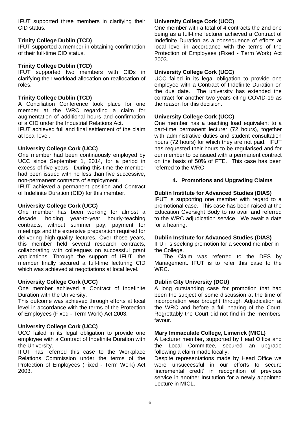IFUT supported three members in clarifying their CID status.

#### **Trinity College Dublin (TCD)**

IFUT supported a member in obtaining confirmation of their full-time CID status.

#### **Trinity College Dublin (TCD)**

IFUT supported two members with CIDs in clarifying their workload allocation on reallocation of roles.

#### **Trinity College Dublin (TCD)**

A Conciliation Conference took place for one member at the WRC regarding a claim for augmentation of additional hours and confirmation of a CID under the Industrial Relations Act.

IFUT achieved full and final settlement of the claim at local level.

#### **University College Cork (UCC)**

One member had been continuously employed by UCC since September 1, 2014, for a period in excess of five years. During this time the member had been issued with no less than five successive, non-permanent contracts of employment.

IFUT achieved a permanent position and Contract of Indefinite Duration (CID) for this member.

#### **University College Cork (UCC)**

One member has been working for almost a decade, holding year-to-year hourly-teaching contracts, without summer pay, payment for meetings and the extensive preparation required for delivering high-quality lectures. Over those years, this member held several research contracts, collaborating with colleagues on successful grant applications. Through the support of IFUT, the member finally secured a full-time lecturing CID which was achieved at negotiations at local level.

#### **University College Cork (UCC)**

One member achieved a Contract of Indefinite Duration with the University.

This outcome was achieved through efforts at local level in accordance with the terms of the Protection of Employees (Fixed - Term Work) Act 2003.

#### **University College Cork (UCC)**

UCC failed in its legal obligation to provide one employee with a Contract of Indefinite Duration with the University.

IFUT has referred this case to the Workplace Relations Commission under the terms of the Protection of Employees (Fixed - Term Work) Act 2003.

#### **University College Cork (UCC)**

One member with a total of 4 contracts the 2nd one being as a full-time lecturer achieved a Contract of Indefinite Duration as a consequence of efforts at local level in accordance with the terms of the Protection of Employees (Fixed - Term Work) Act 2003.

#### **University College Cork (UCC)**

UCC failed in its legal obligation to provide one employee with a Contract of Indefinite Duration on the due date. The university has extended the contract for another two years citing COVID-19 as the reason for this decision.

#### **University College Cork (UCC)**

One member has a teaching load equivalent to a part-time permanent lecturer (72 hours), together with administrative duties and student consultation hours (72 hours) for which they are not paid. IFUT has requested their hours to be regularised and for our member to be issued with a permanent contract on the basis of 50% of FTE. This case has been referred to the WRC

#### **4. Promotions and Upgrading Claims**

#### **Dublin Institute for Advanced Studies (DIAS)**

IFUT is supporting one member with regard to a promotional case. This case has been raised at the Education Oversight Body to no avail and referred to the WRC adjudication service. We await a date for a hearing.

#### **Dublin Institute for Advanced Studies (DIAS)**

IFUT is seeking promotion for a second member in the College.

The Claim was referred to the DES by Management. IFUT is to refer this case to the WRC.

#### **Dublin City University (DCU)**

A long outstanding case for promotion that had been the subject of some discussion at the time of incorporation was brought through Adjudication at the WRC and before a full hearing of the Court. Regrettably the Court did not find in the members' favour.

#### **Mary Immaculate College, Limerick (MICL)**

A Lecturer member, supported by Head Office and the Local Committee, secured an upgrade following a claim made locally.

Despite representations made by Head Office we were unsuccessful in our efforts to secure 'incremental credit' in recognition of previous service in another Institution for a newly appointed Lecture in MICL.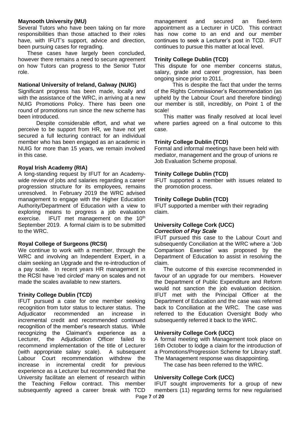#### **Maynooth University (MU)**

Several Tutors who have been taking on far more responsibilities than those attached to their roles have, with IFUT's support, advice and direction, been pursuing cases for regrading.

These cases have largely been concluded, however there remains a need to secure agreement on how Tutors can progress to the Senior Tutor role.

#### **National University of Ireland, Galway (NUIG)**

Significant progress has been made, locally and with the assistance of the WRC, in arriving at a new NUIG Promotions Policy. There has been one round of promotions run since the new scheme has been introduced.

Despite considerable effort, and what we perceive to be support from HR, we have not yet secured a full lecturing contract for an individual member who has been engaged as an academic in NUIG for more than 15 years, we remain involved in this case.

#### **Royal Irish Academy (RIA)**

A long-standing request by IFUT for an Academywide review of jobs and salaries regarding a career progression structure for its employees, remains unresolved. In February 2019 the WRC advised management to engage with the Higher Education Authority/Department of Education with a view to exploring means to progress a job evaluation exercise. IFUT met management on the 10<sup>th</sup> September 2019. A formal claim is to be submitted to the WRC.

#### **Royal College of Surgeons (RCSI)**

We continue to work with a member, through the WRC and involving an Independent Expert, in a claim seeking an Upgrade and the re-introduction of a pay scale. In recent years HR management in the RCSI have 'red circled' many on scales and not made the scales available to new starters.

#### **Trinity College Dublin (TCD)**

IFUT pursued a case for one member seeking recognition from tutor status to lecturer status. The Adjudicator recommended an increase in incremental credit and recommended continued recognition of the member's research status. While recognizing the Claimant's experience as a Lecturer, the Adjudication Officer failed to recommend implementation of the title of Lecturer (with appropriate salary scale). A subsequent Labour Court recommendation withdrew the increase in incremental credit for previous experience as a Lecturer but recommended that the University facilitate an element of research within the Teaching Fellow contract. This member subsequently agreed a career break with TCD

management and secured an fixed-term appointment as a Lecturer in UCD. This contract has now come to an end and our member continues to seek a Lecturer's post in TCD. IFUT continues to pursue this matter at local level.

#### **Trinity College Dublin (TCD)**

This dispute for one member concerns status, salary, grade and career progression, has been ongoing since prior to 2011.

This is despite the fact that under the terms of the Rights Commissioner's Recommendation (as upheld by the Labour Court and therefore binding) our member is still, incredibly, on Point 1 of the scale!

This matter was finally resolved at local level where parties agreed on a final outcome to this case.

#### **Trinity College Dublin (TCD)**

Formal and informal meetings have been held with mediator, management and the group of unions re Job Evaluation Scheme proposal.

#### **Trinity College Dublin (TCD)**

IFUT supported a member with issues related to the promotion process.

#### **Trinity College Dublin (TCD)**

IFUT supported a member with their regrading claim.

#### **University College Cork (UCC)**  *Correction of Pay Scale*

IFUT pursued this case to the Labour Court and subsequently Conciliation at the WRC where a 'Job Comparison Exercise' was proposed by the Department of Education to assist in resolving the claim.

The outcome of this exercise recommended in favour of an upgrade for our members. However the Department of Public Expenditure and Reform would not sanction the job evaluation decision. IFUT met with the Principal Officer at the Department of Education and the case was referred back to Conciliation at the WRC. The case was referred to the Education Oversight Body who subsequently referred it back to the WRC.

#### **University College Cork (UCC)**

A formal meeting with Management took place on 16th October to lodge a claim for the introduction of a Promotions/Progression Scheme for Library staff. The Management response was disappointing.

The case has been referred to the WRC.

#### **University College Cork (UCC)**

Page **7** of **20** IFUT sought improvements for a group of new members (11) regarding terms for new regularised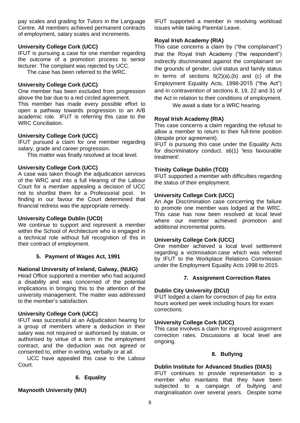pay scales and grading for Tutors in the Language Centre. All members achieved permanent contracts of employment, salary scales and increments.

#### **University College Cork (UCC)**

IFUT is pursuing a case for one member regarding the outcome of a promotion process to senior lecturer. The complaint was rejected by UCC.

The case has been referred to the WRC.

#### **University College Cork (UCC)**

One member has been excluded from progression above the bar due to a red circled agreement.

This member has made every possible effort to open a pathway towards progression to an A/B academic role. IFUT is referring this case to the WRC Conciliation.

#### **University College Cork (UCC)**

IFUT pursued a claim for one member regarding salary, grade and career progression.

This matter was finally resolved at local level.

#### **University College Cork (UCC)**

A case was taken though the adjudication services of the WRC and into a full Hearing of the Labour Court for a member appealing a decision of UCC not to shortlist them for a Professorial post. In finding in our favour the Court determined that financial redress was the appropriate remedy.

#### **University College Dublin (UCD)**

We continue to support and represent a member within the School of Architecture who is engaged in a technical role without full recognition of this in their contract of employment.

#### **5. Payment of Wages Act, 1991**

#### **National University of Ireland, Galway, (NUIG)**

Head Office supported a member who had acquired a disability and was concerned of the potential implications in bringing this to the attention of the university management. The matter was addressed to the member's satisfaction.

#### **University College Cork (UCC)**

IFUT was successful at an Adjudication hearing for a group of members where a deduction in their salary was not required or authorised by statute, or authorised by virtue of a term in the employment contract, and the deduction was not agreed or consented to, either in writing, verbally or at all.

UCC have appealed this case to the Labour Court.

#### **6. Equality**

#### **Maynooth University (MU)**

IFUT supported a member in resolving workload issues while taking Parental Leave.

#### **Royal Irish Academy (RIA)**

This case concerns a claim by ("the complainant") that the Royal Irish Academy ("the respondent") indirectly discriminated against the complainant on the grounds of gender, civil status and family status in terms of sections 6(2)(a),(b) and (c) of the Employment Equality Acts, 1998-2015 ("the Act") and in contravention of sections 8, 19, 22 and 31 of the Act in relation to their conditions of employment.

We await a date for a WRC hearing.

#### **Royal Irish Academy (RIA)**

This case concerns a claim regarding the refusal to allow a member to return to their full-time position (despite prior agreement).

IFUT is pursuing this case under the Equality Acts for discriminatory conduct. s6(1) 'less favourable treatment'.

#### **Trinity College Dublin (TCD)**

IFUT supported a member with difficulties regarding the status of their employment.

#### **University College Cork (UCC)**

An Age Discrimination case concerning the failure to promote one member was lodged at the WRC. This case has now been resolved at local level where our member achieved promotion and additional incremental points.

#### **University College Cork (UCC)**

One member achieved a local level settlement regarding a victimisation case which was referred by IFUT to the Workplace Relations Commission under the Employment Equality Acts 1998 to 2015.

#### **7. Assignment Correction Rates**

#### **Dublin City University (DCU)**

IFUT lodged a claim for correction of pay for extra hours worked per week including hours for exam corrections.

#### **University College Cork (UCC)**

This case involves a claim for improved assignment correction rates. Discussions at local level are ongoing.

#### **8. Bullying**

#### **Dublin Institute for Advanced Studies (DIAS)**

IFUT continues to provide representation to a member who maintains that they have been subjected to a campaign of bullying and marginalisation over several years. Despite some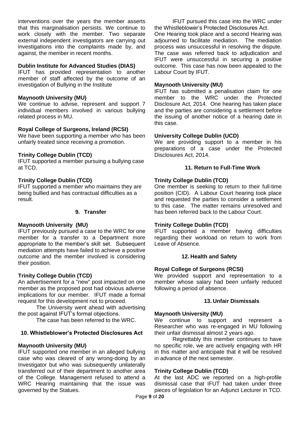interventions over the years the member asserts that this marginalisation persists. We continue to work closely with the member. Two separate external independent investigators are carrying out investigations into the complaints made by, and against, the member in recent months.

#### **Dublin Institute for Advanced Studies (DIAS)**

IFUT has provided representation to another member of staff affected by the outcome of an investigation of Bullying in the Institute

#### **Maynooth University (MU)**

We continue to advise, represent and support 7 individual members involved in various bullying related process in MU.

#### **Royal College of Surgeons, Ireland (RCSI)**

We have been supporting a member who has been unfairly treated since receiving a promotion.

#### **Trinity College Dublin (TCD)**

IFUT supported a member pursuing a bullying case at TCD.

#### **Trinity College Dublin (TCD)**

IFUT supported a member who maintains they are being bullied and has contractual difficulties as a result.

#### **9. Transfer**

#### **Maynooth University (MU)**

IFUT previously pursued a case to the WRC for one member for a transfer to a Department more appropriate to the member's skill set. Subsequent mediation attempts have failed to achieve a positive outcome and the member involved is considering their position.

#### **Trinity College Dublin (TCD)**

An advertisement for a "new" post impacted on one member as the proposed post had obvious adverse implications for our member. IFUT made a formal request for this development not to proceed.

The University went ahead with advertising the post against IFUT's formal objections.

The case has been referred to the WRC.

#### **10. Whistleblower's Protected Disclosures Act**

#### **Maynooth University (MU)**

IFUT supported one member in an alleged bullying case who was cleared of any wrong-doing by an Investigator but who was subsequently unilaterally transferred out of their department to another area of the College. Management refused to attend a WRC Hearing maintaining that the issue was governed by the Statues.

IFUT pursued this case into the WRC under the Whistleblower's Protected Disclosures Act.

One Hearing took place and a second Hearing was adjourned to facilitate mediation. The mediation process was unsuccessful in resolving the dispute. The case was referred back to adjudication and IFUT were unsuccessful in securing a positive outcome. This case has now been appealed to the Labour Court by IFUT.

#### **Maynooth University (MU)**

IFUT has submitted a penalisation claim for one member to the WRC under the Protected Disclosure Act, 2014. One hearing has taken place and the parties are considering a settlement before the issuing of another notice of a hearing date in this case.

#### **University College Dublin (UCD)**

We are providing support to a member in his preparations of a case under the Protected Disclosures Act, 2014.

#### **11. Return to Full-Time Work**

#### **Trinity College Dublin (TCD)**

One member is seeking to return to their full-time position (CID). A Labour Court hearing took place and requested the parties to consider a settlement to this case. The matter remains unresolved and has been referred back to the Labour Court.

#### **Trinity College Dublin (TCD)**

IFUT supported a member having difficulties regarding their workload on return to work from Leave of Absence.

#### **12. Health and Safety**

#### **Royal College of Surgeons (RCSI)**

We provided support and representation to a member whose salary had been unfairly reduced following a period of absence.

#### **13. Unfair Dismissals**

#### **Maynooth University (MU)**

We continue to support and represent a Researcher who was re-engaged in MU following their unfair dismissal almost 2 years ago.

Regrettably this member continues to have no specific role, we are actively engaging with HR in this matter and anticipate that it will be resolved in advance of the next semester.

#### **Trinity College Dublin (TCD)**

At the last ADC we reported on a high-profile dismissal case that IFUT had taken under three pieces of legislation for an Adjunct Lecturer in TCD.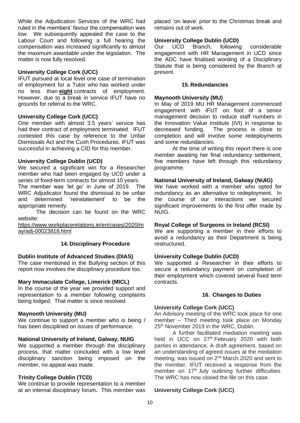While the Adjudication Services of the WRC had ruled in the members' favour the compensation was low. We subsequently appealed the case to the Labour Court and following a full hearing the compensation was increased significantly to almost the maximum awardable under the legislation. The matter is now fully resolved.

#### **University College Cork (UCC)**

IFUT pursued at local level one case of termination of employment for a Tutor who has worked under no less than **eight** contracts of employment. However, due to a break in service IFUT have no grounds for referral to the WRC.

#### **University College Cork (UCC)**

One member with almost 3.5 years' service has had their contract of employment terminated. IFUT contested this case by reference to the Unfair Dismissals Act and the Cush Procedures. IFUT was successful in achieving a CID for this member.

#### **University College Dublin (UCD)**

We secured a significant win for a Researcher member who had been engaged by UCD under a series of fixed-term contracts for almost 10 years.

The member was 'let go' in June of 2019. The WRC Adjudicator found the dismissal to be unfair and determined 'reinstatement' to be the appropriate remedy.

The decision can be found on the WRC website:

[https://www.workplacerelations.ie/en/cases/2020/m](https://www.workplacerelations.ie/en/cases/2020/may/adj-00023818.html) [ay/adj-00023818.html](https://www.workplacerelations.ie/en/cases/2020/may/adj-00023818.html)

#### **14. Disciplinary Procedure**

#### **Dublin Institute of Advanced Studies (DIAS)**

The case mentioned in the Bullying section of this report now involves the disciplinary procedure too.

#### **Mary Immaculate College, Limerick (MICL)**

In the course of the year we provided support and representation to a member following complaints being lodged. That matter is since resolved.

#### **Maynooth University (MU)**

We continue to support a member who is being / has been disciplined on issues of performance.

#### **National University of Ireland, Galway, NUIG**

We supported a member through the disciplinary process, that matter concluded with a low level disciplinary sanction being imposed on the member, no appeal was made.

#### **Trinity College Dublin (TCD)**

We continue to provide representation to a member at an internal disciplinary forum**.** This member was placed 'on leave' prior to the Christmas break and remains out of work.

#### **University College Dublin (UCD)**

Our UCD Branch, following considerable engagement with HR Management in UCD since the ADC have finalised wording of a Disciplinary Statute that is being considered by the Branch at present.

#### **15. Redundancies**

#### **Maynooth University (MU)**

In May of 2019 MU HR Management commenced engagement with IFUT on foot of a senior management decision to reduce staff numbers in the Innovation Value Institute (IVI) in response to decreased funding. The process is close to completion and will involve some redeployments and some redundancies.

At the time of writing this report there is one member awaiting her final redundancy settlement, five members have left through this redundancy programme.

#### **National University of Ireland, Galway (NUIG)**

We have worked with a member who opted for redundancy as an alternative to redeployment. In the course of our interactions we secured significant improvements to the first offer made by NUIG.

#### **Royal College of Surgeons in Ireland (RCSI)**

We are supporting a member in their efforts to avoid a redundancy as their Department is being restructured.

#### **University College Dublin (UCD)**

We supported a Researcher in their efforts to secure a redundancy payment on completion of their employment which covered several fixed term contracts.

#### **16. Changes to Duties**

#### **University College Cork (UCC)**

An Advisory meeting of the WRC took place for one member – Third meeting took place on Monday 25<sup>th</sup> November 2019 in the WRC, Dublin.

A further facilitated mediation meeting was held in UCC on 27<sup>th</sup> February 2020 with both parties in attendance. A draft agreement, based on an understanding of agreed issues at the mediation meeting, was issued on 2<sup>nd</sup> March 2020 and sent to the member. IFUT received a response from the member on 17<sup>th</sup> July outlining further difficulties. The WRC has now closed the file on this case.

#### **University College Cork (UCC)**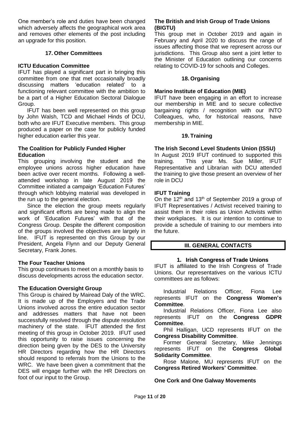One member's role and duties have been changed which adversely affects the geographical work area and removes other elements of the post including an upgrade for this position.

#### **17. Other Committees**

#### **ICTU Education Committee**

IFUT has played a significant part in bringing this committee from one that met occasionally broadly discussing matters 'education related' to a functioning relevant committee with the ambition to be a part of a Higher Education Sectoral Dialogue Group.

IFUT has been well represented on this group by John Walsh, TCD and Michael Hinds of DCU, both who are IFUT Executive members. This group produced a paper on the case for publicly funded higher education earlier this year.

#### **The Coalition for Publicly Funded Higher Education**

This grouping involving the student and the employee unions across higher education have been active over recent months. Following a wellattended workshop in late August 2019 the Committee initiated a campaign 'Education Futures' through which lobbying material was developed in the run up to the general election.

Since the election the group meets regularly and significant efforts are being made to align the work of 'Education Futures' with that of the Congress Group. Despite the different composition of the groups involved the objectives are largely in line. IFUT is represented on this Group by our President, Angela Flynn and our Deputy General Secretary, Frank Jones.

#### **The Four Teacher Unions**

This group continues to meet on a monthly basis to discuss developments across the education sector.

#### **The Education Oversight Group**

This Group is chaired by Mairead Daly of the WRC. It is made up of the Employers and the Trade Unions involved across the entire education sector and addresses matters that have not been successfully resolved through the dispute resolution machinery of the state. IFUT attended the first meeting of this group in October 2019. IFUT used this opportunity to raise issues concerning the direction being given by the DES to the University HR Directors regarding how the HR Directors should respond to referrals from the Unions to the WRC. We have been given a commitment that the DES will engage further with the HR Directors on foot of our input to the Group.

#### **The British and Irish Group of Trade Unions (BIGTU)**

This group met in October 2019 and again in February and April 2020 to discuss the range of issues affecting those that we represent across our jurisdictions. This Group also sent a joint letter to the Minister of Education outlining our concerns relating to COVID-19 for schools and Colleges.

#### **18. Organising**

#### **Marino Institute of Education (MIE)**

IFUT have been engaging in an effort to increase our membership in MIE and to secure collective bargaining rights / recognition with our INTO Colleagues, who, for historical reasons, have membership in MIE.

#### **19. Training**

#### **The Irish Second Level Students Union (ISSU)**

In August 2019 IFUT continued to supported this training. This year Ms. Sue Miller, IFUT Representative and Librarian with DCU attended the training to give those present an overview of her role in DCU

#### **IFUT Training**

On the 12<sup>th</sup> and 13<sup>th</sup> of September 2019 a group of IFUT Representatives / Activist received training to assist them in their roles as Union Activists within their workplaces. It is our intention to continue to provide a schedule of training to our members into the future.

#### **III. GENERAL CONTACTS**

#### **1. Irish Congress of Trade Unions**

IFUT is affiliated to the Irish Congress of Trade Unions. Our representatives on the various ICTU committees are as follows:

Industrial Relations Officer, Fiona Lee represents IFUT on the **Congress Women's Committee**.

Industrial Relations Officer, Fiona Lee also represents IFUT on the **Congress GDPR Committee**.

Phil Halligan, UCD represents IFUT on the **Congress Disability Committee**.

Former General Secretary, Mike Jennings represents IFUT on the **Congress Global Solidarity Committee**.

Rose Malone, MU represents IFUT on the **Congress Retired Workers' Committee**.

#### **One Cork and One Galway Movements**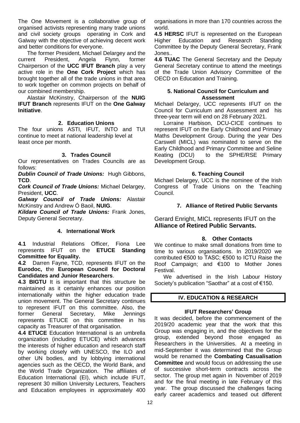The One Movement is a collaborative group of organised activists representing many trade unions and civil society groups operating in Cork and Galway with the objective of achieving decent work and better conditions for everyone.

The former President, Michael Delargey and the current President, Angela Flynn, former Chairperson of the **UCC IFUT Branch** play a very active role in the **One Cork Project** which has brought together all of the trade unions in that area to work together on common projects on behalf of our combined membership.

Alastair McKinstry, Chairperson of the **NUIG IFUT Branch** represents IFUT on the **One Galway Initiative**.

#### **2. Education Unions**

The four unions ASTI, IFUT, INTO and TUI continue to meet at national leadership level at least once per month.

#### **3. Trades Council**

Our representatives on Trades Councils are as follows:

*Dublin Council of Trade Unions:* Hugh Gibbons, **TCD**.

*Cork Council of Trade Unions:* Michael Delargey, President, **UCC**.

*Galway Council of Trade Unions:* Alastair McKinstry and Andrew Ó Baoil, **NUIG**.

*Kildare Council of Trade Unions:* Frank Jones, Deputy General Secretary.

#### **4. International Work**

**4.1** Industrial Relations Officer, Fiona Lee represents IFUT on the **ETUCE Standing Committee for Equality.**

**4.2** Darren Fayne, TCD, represents IFUT on the **Eurodoc, t**he **European Council for Doctoral Candidates and Junior Researchers**.

**4.3 BIGTU** It is important that this structure be maintained as it certainly enhances our position internationally within the higher education trade union movement. The General Secretary continues to represent IFUT on this committee. Also, the former General Secretary, Mike Jennings represents ETUCE on this committee in his capacity as Treasurer of that organisation.

**4.4 ETUCE** Education International is an umbrella organization (including ETUCE) which advances the interests of higher education and research staff by working closely with UNESCO, the ILO and other UN bodies, and by lobbying international agencies such as the OECD, the World Bank, and the World Trade Organization. The affiliates of Education International (EI), which include IFUT, represent 30 million University Lecturers, Teachers and Education employees in approximately 400 organisations in more than 170 countries across the world.

**4.5 HERSC** IFUT is represented on the European Higher Education and Research Standing Committee by the Deputy General Secretary, Frank Jones..

**4.6 TUAC** The General Secretary and the Deputy General Secretary continue to attend the meetings of the Trade Union Advisory Committee of the OECD on Education and Training.

#### **5. National Council for Curriculum and Assessment**

Michael Delargey, UCC represents IFUT on the Council for Curriculum and Assessment and his three-year term will end on 28 February 2021.

Lorraine Harbison, DCU-CICE continues to represent IFUT on the Early Childhood and Primary Maths Development Group. During the year Des Carswell (MICL) was nominated to serve on the Early Childhood and Primary Committee and Seline Keating (DCU) to the SPHE/RSE Primary Development Group.

#### **6. Teaching Council**

Michael Delargey, UCC is the nominee of the Irish Congress of Trade Unions on the Teaching Council.

#### **7. Alliance of Retired Public Servants**

Gerard Enright, MICL represents IFUT on the **Alliance of Retired Public Servants.**

#### **8. Other Contacts**

We continue to make small donations from time to time to various organisations. In 2019/2020 we contributed €500 to TASC; €500 to ICTU Raise the Roof Campaign; and €100 to Mother Jones Festival.

We advertised in the Irish Labour History Society's publication "Saothar" at a cost of €150.

#### **IV. EDUCATION & RESEARCH**

#### **IFUT Researchers' Group**

It was decided, before the commencement of the 2019/20 academic year that the work that this Group was engaging in, and the objectives for the group, extended beyond those engaged as Researchers in the Universities. At a meeting in mid-September it was determined that the Group would be renamed the **Combating Casualisation Committee** and would focus on addressing the use of successive short-term contracts across the sector. The group met again in November of 2019 and for the final meeting in late February of this year. The group discussed the challenges facing early career academics and teased out different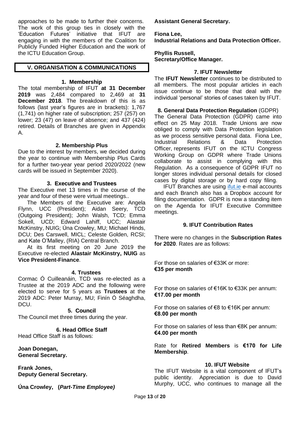approaches to be made to further their concerns. The work of this group ties in closely with the 'Education Futures' initiative that IFUT are engaging in with the members of the Coalition for Publicly Funded Higher Education and the work of the ICTU Education Group.

#### **V. ORGANISATION & COMMUNICATIONS**

#### **1. Membership**

The total membership of IFUT **at 31 December 2019** was 2,484 compared to 2,469 at **31 December 2018**. The breakdown of this is as follows (last year's figures are in brackets): 1,767 (1,741) on higher rate of subscription; 257 (257) on lower; 23 (47) on leave of absence; and 437 (424) retired. Details of Branches are given in Appendix A.

#### **2. Membership Plus**

Due to the interest by members, we decided during the year to continue with Membership Plus Cards for a further two-year year period 2020/2022 (new cards will be issued in September 2020).

#### **3. Executive and Trustees**

The Executive met 13 times in the course of the year and four of these were virtual meetings..

The Members of the Executive are: Angela Flynn, UCC (President); Aidan Seery, TCD (Outgoing President); John Walsh, TCD; Emma Sokell, UCD; Edward Lahiff, UCC; Alastair McKinstry, NUIG; Úna Crowley, MU; Michael Hinds, DCU; Des Carswell, MICL; Celeste Golden, RCSI; and Kate O'Malley, (RIA) Central Branch.

At its first meeting on 20 June 2019 the Executive re-elected **Alastair McKinstry, NUIG** as **Vice President-Finance**.

#### **4. Trustees**

Cormac Ó Cuilleanáin, TCD was re-elected as a Trustee at the 2019 ADC and the following were elected to serve for 5 years as **Trustees** at the 2019 ADC: Peter Murray, MU; Finín Ó Séaghdha, DCU.

#### **5. Council**

The Council met three times during the year.

#### **6. Head Office Staff**

Head Office Staff is as follows:

**Joan Donegan, General Secretary.**

**Frank Jones, Deputy General Secretary.**

**Úna Crowley, (***Part-Time Employee)*

**Assistant General Secretary.**

#### **Fiona Lee, Industrial Relations and Data Protection Officer.**

#### **Phyllis Russell, Secretary/Office Manager.**

#### **7. IFUT Newsletter**

The **IFUT Newsletter** continues to be distributed to all members. The most popular articles in each issue continue to be those that deal with the individual 'personal' stories of cases taken by IFUT.

#### **8. General Data Protection Regulation** (GDPR)

The General Data Protection (GDPR) came into effect on 25 May 2018. Trade Unions are now obliged to comply with Data Protection legislation as we process sensitive personal data. Fiona Lee, Industrial Relations & Data Protection Officer, represents IFUT on the ICTU Congress Working Group on GDPR where Trade Unions collaborate to assist in complying with this Regulation. As a consequence of GDPR IFUT no longer stores individual personal details for closed cases by digital storage or by hard copy filing.

IFUT Branches are using *ifut.ie* e-mail accounts and each Branch also has a Dropbox account for filing documentation. GDPR is now a standing item on the Agenda for IFUT Executive Committee meetings.

#### **9. IFUT Contribution Rates**

There were no changes in the **Subscription Rates for 2020**. Rates are as follows:

For those on salaries of €33K or more: **€35 per month**

For those on salaries of €16K to €33K per annum: **€17.00 per month**

For those on salaries of  $\epsilon$ 8 to  $\epsilon$ 16K per annum: **€8.00 per month**

For those on salaries of less than €8K per annum: **€4.00 per month**

Rate for **Retired Members** is **€170 for Life Membership**.

#### **10. IFUT Website**

The IFUT Website is a vital component of IFUT's public identity. Appreciation is due to David Murphy, UCC, who continues to manage all the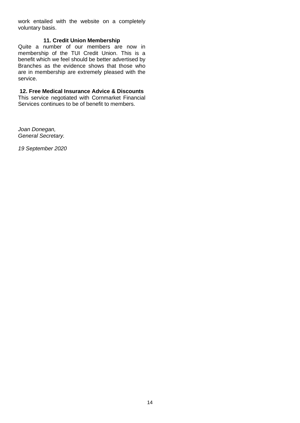work entailed with the website on a completely voluntary basis.

#### **11. Credit Union Membership**

Quite a number of our members are now in membership of the TUI Credit Union. This is a benefit which we feel should be better advertised by Branches as the evidence shows that those who are in membership are extremely pleased with the service.

#### **12. Free Medical Insurance Advice & Discounts**

This service negotiated with Cornmarket Financial Services continues to be of benefit to members.

*Joan Donegan, General Secretary.*

*19 September 2020*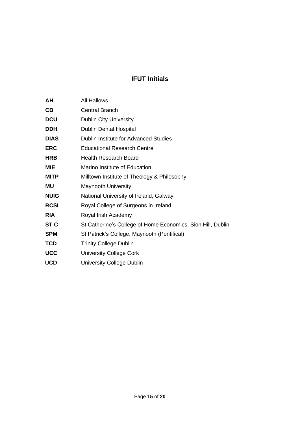#### **IFUT Initials**

| AΗ          | <b>All Hallows</b>                                          |
|-------------|-------------------------------------------------------------|
| <b>CB</b>   | <b>Central Branch</b>                                       |
| <b>DCU</b>  | <b>Dublin City University</b>                               |
| <b>DDH</b>  | <b>Dublin Dental Hospital</b>                               |
| <b>DIAS</b> | Dublin Institute for Advanced Studies                       |
| <b>ERC</b>  | <b>Educational Research Centre</b>                          |
| <b>HRB</b>  | <b>Health Research Board</b>                                |
| <b>MIE</b>  | Marino Institute of Education                               |
| <b>MITP</b> | Milltown Institute of Theology & Philosophy                 |
| <b>MU</b>   | <b>Maynooth University</b>                                  |
| <b>NUIG</b> | National University of Ireland, Galway                      |
| <b>RCSI</b> | Royal College of Surgeons in Ireland                        |
| <b>RIA</b>  | Royal Irish Academy                                         |
| <b>ST C</b> | St Catherine's College of Home Economics, Sion Hill, Dublin |
| <b>SPM</b>  | St Patrick's College, Maynooth (Pontifical)                 |
| <b>TCD</b>  | <b>Trinity College Dublin</b>                               |
| <b>UCC</b>  | <b>University College Cork</b>                              |
| <b>UCD</b>  | University College Dublin                                   |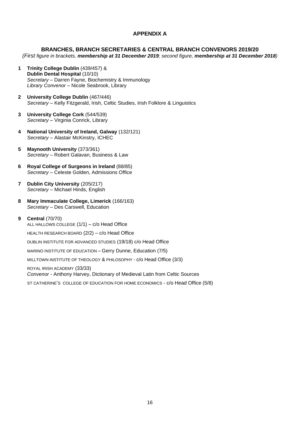#### **APPENDIX A**

#### **BRANCHES, BRANCH SECRETARIES & CENTRAL BRANCH CONVENORS 2019/20**

*(First figure in brackets, membership at 31 December 2019; second figure, membership at 31 December 2018)*

- **1 Trinity College Dublin** (439/457) & **Dublin Dental Hospital** (10/10) *Secretary –* Darren Fayne, Biochemistry & Immunology *Library Convenor –* Nicole Seabrook, Library
- **2 University College Dublin** (467/446) *Secretary –* Kelly Fitzgerald, Irish, Celtic Studies, Irish Folklore & Linguistics
- **3 University College Cork** (544/539) *Secretary –* Virginia Conrick, Library
- **4 National University of Ireland, Galway** (132/121) *Secretary –* Alastair McKinstry, ICHEC
- **5 Maynooth University** (373/361) *Secretary –* Robert Galavan, Business & Law
- **6 Royal College of Surgeons in Ireland** (88/85) *Secretary –* Celeste Golden, Admissions Office
- **7 Dublin City University** (205/217) *Secretary –* Michael Hinds, English
- **8 Mary Immaculate College, Limerick** (166/163) *Secretary –* Des Carswell, Education
- **9 Central** (70/70)

ALL HALLOWS COLLEGE (1/1) – c/o Head Office

HEALTH RESEARCH BOARD (2/2) – c/o Head Office

DUBLIN INSTITUTE FOR ADVANCED STUDIES (19/18) c/o Head Office

MARINO INSTITUTE OF EDUCATION – Gerry Dunne, Education (7/5)

MILLTOWN INSTITUTE OF THEOLOGY & PHILOSOPHY - c/o Head Office (3/3)

ROYAL IRISH ACADEMY (33/33) *Convenor* - Anthony Harvey, Dictionary of Medieval Latin from Celtic Sources

ST CATHERINE'S COLLEGE OF EDUCATION FOR HOME ECONOMICS - c/o Head Office (5/8)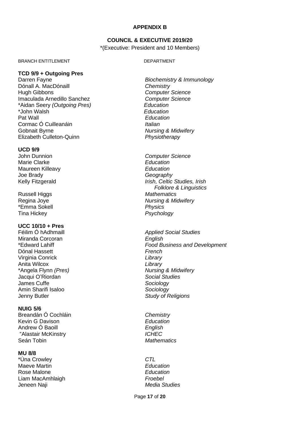#### **APPENDIX B**

#### **COUNCIL & EXECUTIVE 2019/20**

\*(Executive: President and 10 Members)

#### BRANCH ENTITLEMENT DEPARTMENT

#### **TCD 9/9 + Outgoing Pres**

Dónall A. MacDónaill *Chemistry* Hugh Gibbons *Computer Science* Imaculada Arnedillo Sanchez *Computer Science* \*Aidan Seery *(Outgoing Pres) Education* \*John Walsh *Education* Pat Wall *Education* Cormac Ó Cuilleanáin *Italian* Gobnait Byrne *Nursing & Midwifery* Elizabeth Culleton-Quinn *Physiotherapy*

#### **UCD 9/9**

Marie Clarke<br>
Maureen Killeavy<br>
Maureen Killeavy<br>
Collection **Maureen Killeavy** Joe Brady *Geography*

Russell Higgs *Mathematics* \*Emma Sokell *Physics* Tina Hickey *Psychology*

#### **UCC 10/10 + Pres**

Miranda Corcoran *English* Dónal Hassett *French* Virginia Conrick *Library* Anita Wilcox *Library* \*Angela Flynn *(Pres) Nursing & Midwifery* Jacqui O'Riordan *Social Studies* James Cuffe *Sociology* Amin Sharifi Isaloo *Sociology* Jenny Butler *Study of Religions*

#### **NUIG 5/6**

Breandán Ó Cochláin *Chemistry* Kevin G Davison **Education**<br>
Andrew Ó Baoill **Andrew Contains Container Contains Contains Contains Contains Contains Contains Contains Contains Contains Contains Contains Contains Contains Contains Contains Contains Contai** Andrew Ó Baoill "Alastair McKinstry *ICHEC* Seán Tobin *Mathematics*

#### **MU 8/8**

\*Úna Crowley *CTL* Maeve Martin Rose Malone *Education* Liam MacAmhlaigh *Froebel* Jeneen Naji *Media Studies*

# Darren Fayne *Biochemistry & Immunology*

John Dunnion *Computer Science* Kelly Fitzgerald *Irish, Celtic Studies, Irish Folklore & Linguistics* Regina Joye *Nursing & Midwifery*

Féilim Ó hAdhmaill *Applied Social Studies* \*Edward Lahiff *Food Business and Development*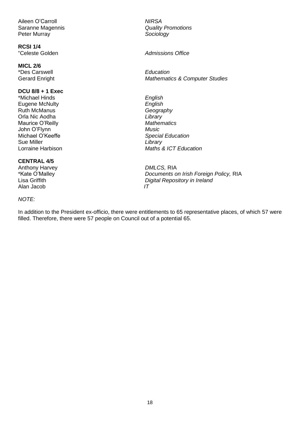Aileen O'Carroll *NIRSA* Peter Murray *Sociology*

**RCSI 1/4**

**MICL 2/6** \*Des Carswell *Education*

#### **DCU 8/8 + 1 Exec**

\*Michael Hinds *English* Eugene McNulty *English* Ruth McManus *Geography* Orla Nic Aodha *Library* Maurice O'Reilly **Mathematics**<br>
John O'Flynn<br>
Music John O'Flynn Michael O'Keeffe *Special Education* Sue Miller *Library*

#### **CENTRAL 4/5**

Anthony Harvey *DMLCS, RIA*<br> **EXAMPLE FRIME PROPERTY AND POST MANUSHIP PROPERTY ASSAULT POST AT A POCUMENT SOLUME PROPERTY** Alan Jacob *IT*

#### *NOTE:*

Saranne Magennis *Quality Promotions*

 $Admissible$  *Admissions* Office

Gerard Enright *Mathematics & Computer Studies*

Lorraine Harbison *Maths & ICT Education*

**Documents on Irish Foreign Policy, RIA** Lisa Griffith *Digital Repository in Ireland*

In addition to the President ex-officio, there were entitlements to 65 representative places, of which 57 were filled. Therefore, there were 57 people on Council out of a potential 65.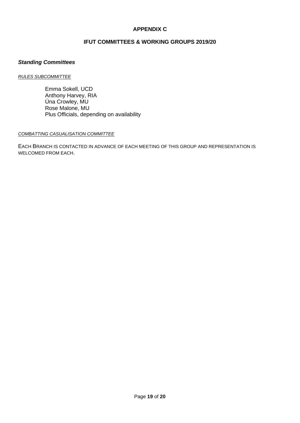#### **APPENDIX C**

#### **IFUT COMMITTEES & WORKING GROUPS 2019/20**

#### *Standing Committees*

#### *RULES SUBCOMMITTEE*

Emma Sokell, UCD Anthony Harvey, RIA Úna Crowley, MU Rose Malone, MU Plus Officials, depending on availability

#### *COMBATTING CASUALISATION COMMITTEE*

EACH BRANCH IS CONTACTED IN ADVANCE OF EACH MEETING OF THIS GROUP AND REPRESENTATION IS WELCOMED FROM EACH.